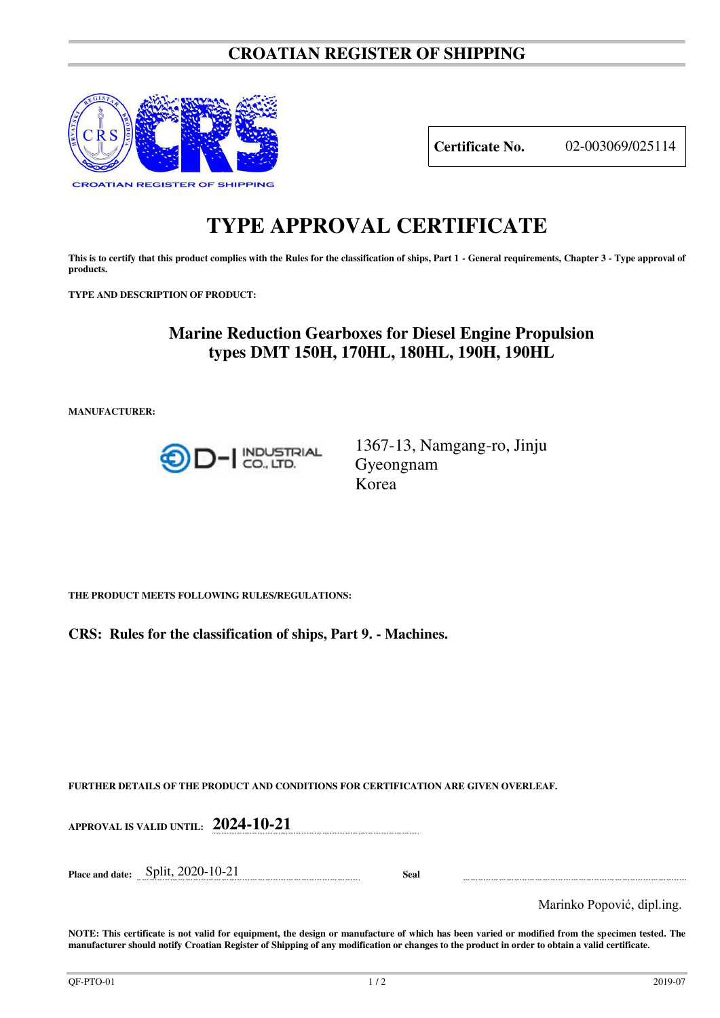# **CROATIAN REGISTER OF SHIPPING**



**Certificate No.** 02-003069/025114

# **TYPE APPROVAL CERTIFICATE**

**This is to certify that this product complies with the Rules for the classification of ships, Part 1 - General requirements, Chapter 3 - Type approval of products.** 

**TYPE AND DESCRIPTION OF PRODUCT:** 

# **Marine Reduction Gearboxes for Diesel Engine Propulsion types DMT 150H, 170HL, 180HL, 190H, 190HL**

**MANUFACTURER:**



1367-13, Namgang-ro, Jinju Gyeongnam Korea

**THE PRODUCT MEETS FOLLOWING RULES/REGULATIONS:**

**CRS: Rules for the classification of ships, Part 9. - Machines.**

**FURTHER DETAILS OF THE PRODUCT AND CONDITIONS FOR CERTIFICATION ARE GIVEN OVERLEAF.**

| <b>APPROVAL IS VALID UNTIL:</b> | 2024-10-21 |
|---------------------------------|------------|
|                                 |            |

**Place and date:** Split, 2020-10-21 **Seal** 

Marinko Popović, dipl.ing.

**NOTE: This certificate is not valid for equipment, the design or manufacture of which has been varied or modified from the specimen tested. The manufacturer should notify Croatian Register of Shipping of any modification or changes to the product in order to obtain a valid certificate.**